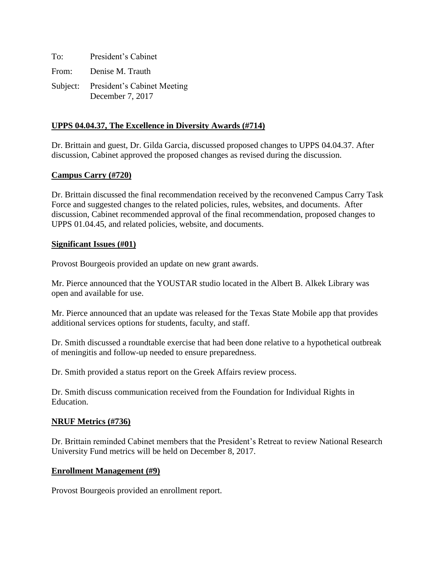To: President's Cabinet From: Denise M. Trauth Subject: President's Cabinet Meeting December 7, 2017

# **UPPS 04.04.37, The Excellence in Diversity Awards (#714)**

Dr. Brittain and guest, Dr. Gilda Garcia, discussed proposed changes to UPPS 04.04.37. After discussion, Cabinet approved the proposed changes as revised during the discussion.

### **Campus Carry (#720)**

Dr. Brittain discussed the final recommendation received by the reconvened Campus Carry Task Force and suggested changes to the related policies, rules, websites, and documents. After discussion, Cabinet recommended approval of the final recommendation, proposed changes to UPPS 01.04.45, and related policies, website, and documents.

#### **Significant Issues (#01)**

Provost Bourgeois provided an update on new grant awards.

Mr. Pierce announced that the YOUSTAR studio located in the Albert B. Alkek Library was open and available for use.

Mr. Pierce announced that an update was released for the Texas State Mobile app that provides additional services options for students, faculty, and staff.

Dr. Smith discussed a roundtable exercise that had been done relative to a hypothetical outbreak of meningitis and follow-up needed to ensure preparedness.

Dr. Smith provided a status report on the Greek Affairs review process.

Dr. Smith discuss communication received from the Foundation for Individual Rights in Education.

### **NRUF Metrics (#736)**

Dr. Brittain reminded Cabinet members that the President's Retreat to review National Research University Fund metrics will be held on December 8, 2017.

### **Enrollment Management (#9)**

Provost Bourgeois provided an enrollment report.